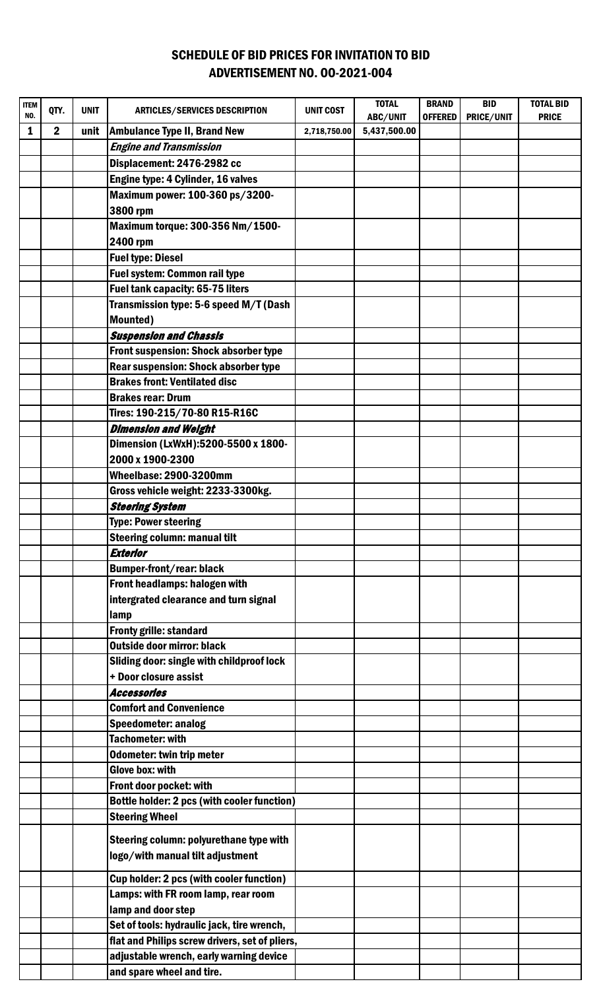## SCHEDULE OF BID PRICES FOR INVITATION TO BID ADVERTISEMENT NO. OO-2021-004

| <b>ITEM</b> | QTY.           | <b>UNIT</b> | <b>ARTICLES/SERVICES DESCRIPTION</b>               | <b>UNIT COST</b> | <b>TOTAL</b> | <b>BRAND</b>   | <b>BID</b>        | <b>TOTAL BID</b> |
|-------------|----------------|-------------|----------------------------------------------------|------------------|--------------|----------------|-------------------|------------------|
| NO.         |                |             |                                                    |                  | ABC/UNIT     | <b>OFFERED</b> | <b>PRICE/UNIT</b> | <b>PRICE</b>     |
| 1           | $\overline{2}$ | unit        | <b>Ambulance Type II, Brand New</b>                | 2,718,750.00     | 5,437,500.00 |                |                   |                  |
|             |                |             | <b>Engine and Transmission</b>                     |                  |              |                |                   |                  |
|             |                |             | Displacement: 2476-2982 cc                         |                  |              |                |                   |                  |
|             |                |             | Engine type: 4 Cylinder, 16 valves                 |                  |              |                |                   |                  |
|             |                |             | Maximum power: 100-360 ps/3200-                    |                  |              |                |                   |                  |
|             |                |             | 3800 rpm                                           |                  |              |                |                   |                  |
|             |                |             | Maximum torque: 300-356 Nm/1500-                   |                  |              |                |                   |                  |
|             |                |             | 2400 rpm                                           |                  |              |                |                   |                  |
|             |                |             | <b>Fuel type: Diesel</b>                           |                  |              |                |                   |                  |
|             |                |             | <b>Fuel system: Common rail type</b>               |                  |              |                |                   |                  |
|             |                |             | <b>Fuel tank capacity: 65-75 liters</b>            |                  |              |                |                   |                  |
|             |                |             | Transmission type: 5-6 speed M/T (Dash             |                  |              |                |                   |                  |
|             |                |             | <b>Mounted</b> )                                   |                  |              |                |                   |                  |
|             |                |             | <b>Suspension and Chassis</b>                      |                  |              |                |                   |                  |
|             |                |             | <b>Front suspension: Shock absorber type</b>       |                  |              |                |                   |                  |
|             |                |             | <b>Rear suspension: Shock absorber type</b>        |                  |              |                |                   |                  |
|             |                |             | <b>Brakes front: Ventilated disc</b>               |                  |              |                |                   |                  |
|             |                |             | <b>Brakes rear: Drum</b>                           |                  |              |                |                   |                  |
|             |                |             | Tires: 190-215/70-80 R15-R16C                      |                  |              |                |                   |                  |
|             |                |             | <b>Dimension and Weight</b>                        |                  |              |                |                   |                  |
|             |                |             | Dimension (LxWxH):5200-5500 x 1800-                |                  |              |                |                   |                  |
|             |                |             | 2000 x 1900-2300                                   |                  |              |                |                   |                  |
|             |                |             | Wheelbase: 2900-3200mm                             |                  |              |                |                   |                  |
|             |                |             | Gross vehicle weight: 2233-3300kg.                 |                  |              |                |                   |                  |
|             |                |             | <b>Steering System</b>                             |                  |              |                |                   |                  |
|             |                |             | <b>Type: Power steering</b>                        |                  |              |                |                   |                  |
|             |                |             | <b>Steering column: manual tilt</b>                |                  |              |                |                   |                  |
|             |                |             | Exterior                                           |                  |              |                |                   |                  |
|             |                |             | <b>Bumper-front/rear: black</b>                    |                  |              |                |                   |                  |
|             |                |             | Front headlamps: halogen with                      |                  |              |                |                   |                  |
|             |                |             | intergrated clearance and turn signal              |                  |              |                |                   |                  |
|             |                |             | lamp<br><b>Fronty grille: standard</b>             |                  |              |                |                   |                  |
|             |                |             | <b>Outside door mirror: black</b>                  |                  |              |                |                   |                  |
|             |                |             | Sliding door: single with childproof lock          |                  |              |                |                   |                  |
|             |                |             | + Door closure assist                              |                  |              |                |                   |                  |
|             |                |             | Accessories                                        |                  |              |                |                   |                  |
|             |                |             | <b>Comfort and Convenience</b>                     |                  |              |                |                   |                  |
|             |                |             | <b>Speedometer: analog</b>                         |                  |              |                |                   |                  |
|             |                |             | <b>Tachometer: with</b>                            |                  |              |                |                   |                  |
|             |                |             | Odometer: twin trip meter                          |                  |              |                |                   |                  |
|             |                |             | <b>Glove box: with</b>                             |                  |              |                |                   |                  |
|             |                |             | Front door pocket: with                            |                  |              |                |                   |                  |
|             |                |             | <b>Bottle holder: 2 pcs (with cooler function)</b> |                  |              |                |                   |                  |
|             |                |             | <b>Steering Wheel</b>                              |                  |              |                |                   |                  |
|             |                |             |                                                    |                  |              |                |                   |                  |
|             |                |             | Steering column: polyurethane type with            |                  |              |                |                   |                  |
|             |                |             | logo/with manual tilt adjustment                   |                  |              |                |                   |                  |
|             |                |             | Cup holder: 2 pcs (with cooler function)           |                  |              |                |                   |                  |
|             |                |             | Lamps: with FR room lamp, rear room                |                  |              |                |                   |                  |
|             |                |             | lamp and door step                                 |                  |              |                |                   |                  |
|             |                |             | Set of tools: hydraulic jack, tire wrench,         |                  |              |                |                   |                  |
|             |                |             | flat and Philips screw drivers, set of pliers,     |                  |              |                |                   |                  |
|             |                |             | adjustable wrench, early warning device            |                  |              |                |                   |                  |
|             |                |             | and spare wheel and tire.                          |                  |              |                |                   |                  |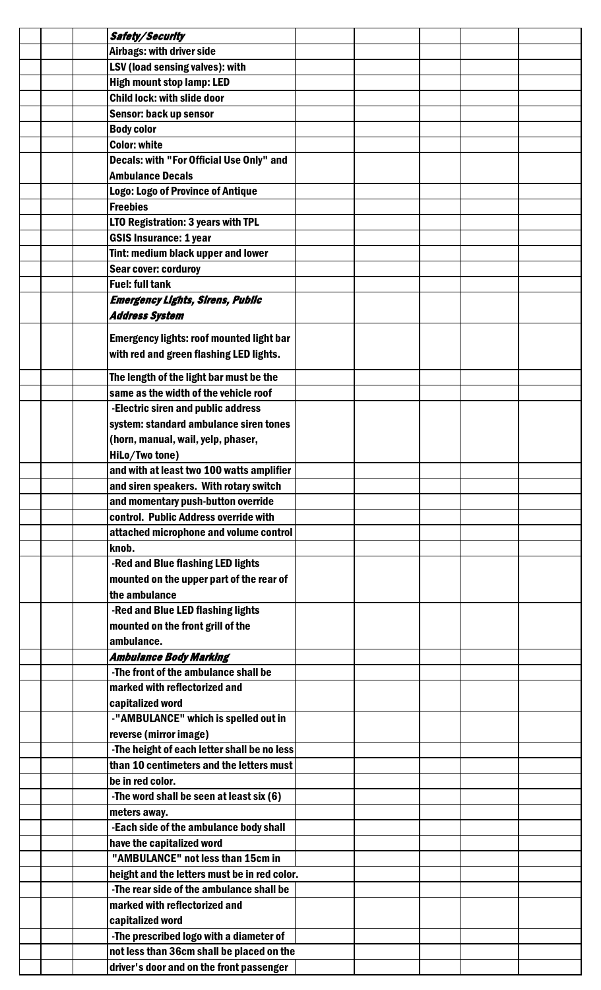|  | Safety/Security                                 |  |  |  |
|--|-------------------------------------------------|--|--|--|
|  | Airbags: with driver side                       |  |  |  |
|  | <b>LSV (load sensing valves): with</b>          |  |  |  |
|  | <b>High mount stop lamp: LED</b>                |  |  |  |
|  | <b>Child lock: with slide door</b>              |  |  |  |
|  | <b>Sensor: back up sensor</b>                   |  |  |  |
|  | <b>Body color</b>                               |  |  |  |
|  | <b>Color: white</b>                             |  |  |  |
|  | Decals: with "For Official Use Only" and        |  |  |  |
|  | <b>Ambulance Decals</b>                         |  |  |  |
|  | Logo: Logo of Province of Antique               |  |  |  |
|  | <b>Freebies</b>                                 |  |  |  |
|  | LTO Registration: 3 years with TPL              |  |  |  |
|  | <b>GSIS Insurance: 1 year</b>                   |  |  |  |
|  | Tint: medium black upper and lower              |  |  |  |
|  | Sear cover: corduroy                            |  |  |  |
|  | <b>Fuel: full tank</b>                          |  |  |  |
|  | <b>Emergency Lights, Sirens, Public</b>         |  |  |  |
|  | <b>Address System</b>                           |  |  |  |
|  |                                                 |  |  |  |
|  | <b>Emergency lights: roof mounted light bar</b> |  |  |  |
|  | with red and green flashing LED lights.         |  |  |  |
|  | The length of the light bar must be the         |  |  |  |
|  | same as the width of the vehicle roof           |  |  |  |
|  | -Electric siren and public address              |  |  |  |
|  | system: standard ambulance siren tones          |  |  |  |
|  | (horn, manual, wail, yelp, phaser,              |  |  |  |
|  | HiLo/Two tone)                                  |  |  |  |
|  | and with at least two 100 watts amplifier       |  |  |  |
|  | and siren speakers. With rotary switch          |  |  |  |
|  | and momentary push-button override              |  |  |  |
|  | control. Public Address override with           |  |  |  |
|  | attached microphone and volume control          |  |  |  |
|  | knob.                                           |  |  |  |
|  | -Red and Blue flashing LED lights               |  |  |  |
|  | mounted on the upper part of the rear of        |  |  |  |
|  | the ambulance                                   |  |  |  |
|  | -Red and Blue LED flashing lights               |  |  |  |
|  | mounted on the front grill of the               |  |  |  |
|  | ambulance.                                      |  |  |  |
|  | <b>Ambulance Body Marking</b>                   |  |  |  |
|  | -The front of the ambulance shall be            |  |  |  |
|  | marked with reflectorized and                   |  |  |  |
|  | capitalized word                                |  |  |  |
|  | -"AMBULANCE" which is spelled out in            |  |  |  |
|  | reverse (mirror image)                          |  |  |  |
|  | -The height of each letter shall be no less     |  |  |  |
|  | than 10 centimeters and the letters must        |  |  |  |
|  | be in red color.                                |  |  |  |
|  | -The word shall be seen at least six (6)        |  |  |  |
|  | meters away.                                    |  |  |  |
|  | -Each side of the ambulance body shall          |  |  |  |
|  | have the capitalized word                       |  |  |  |
|  | "AMBULANCE" not less than 15cm in               |  |  |  |
|  | height and the letters must be in red color.    |  |  |  |
|  | -The rear side of the ambulance shall be        |  |  |  |
|  | marked with reflectorized and                   |  |  |  |
|  | capitalized word                                |  |  |  |
|  | -The prescribed logo with a diameter of         |  |  |  |
|  | not less than 36cm shall be placed on the       |  |  |  |
|  | driver's door and on the front passenger        |  |  |  |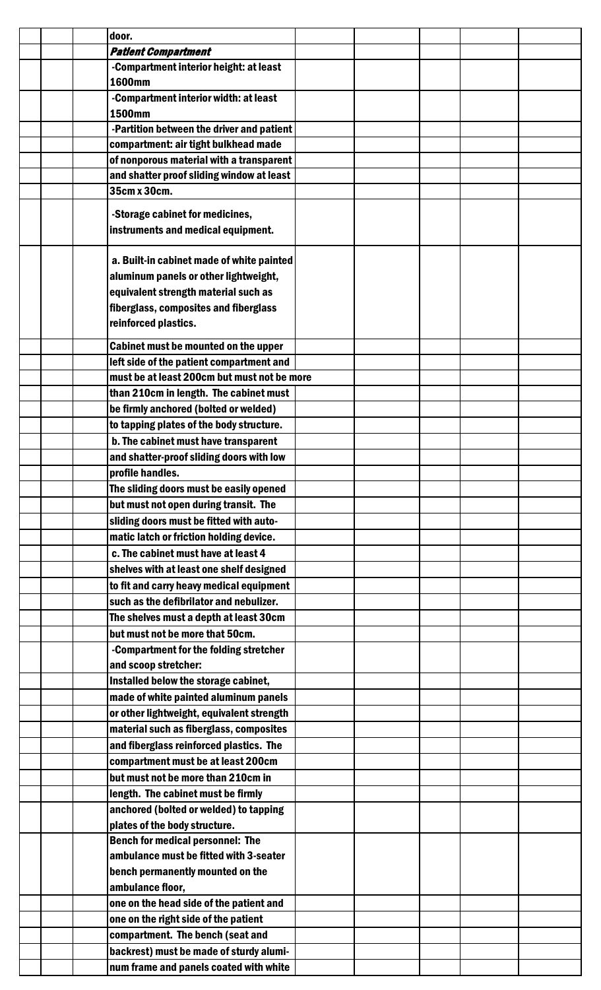|  | door.                                       |  |  |  |
|--|---------------------------------------------|--|--|--|
|  | <b>Patient Compartment</b>                  |  |  |  |
|  | -Compartment interior height: at least      |  |  |  |
|  | <b>1600mm</b>                               |  |  |  |
|  | -Compartment interior width: at least       |  |  |  |
|  | <b>1500mm</b>                               |  |  |  |
|  | -Partition between the driver and patient   |  |  |  |
|  | compartment: air tight bulkhead made        |  |  |  |
|  | of nonporous material with a transparent    |  |  |  |
|  | and shatter proof sliding window at least   |  |  |  |
|  | 35cm x 30cm.                                |  |  |  |
|  |                                             |  |  |  |
|  | -Storage cabinet for medicines,             |  |  |  |
|  | instruments and medical equipment.          |  |  |  |
|  |                                             |  |  |  |
|  | a. Built-in cabinet made of white painted   |  |  |  |
|  | aluminum panels or other lightweight,       |  |  |  |
|  | equivalent strength material such as        |  |  |  |
|  | fiberglass, composites and fiberglass       |  |  |  |
|  | reinforced plastics.                        |  |  |  |
|  |                                             |  |  |  |
|  | Cabinet must be mounted on the upper        |  |  |  |
|  | left side of the patient compartment and    |  |  |  |
|  | must be at least 200cm but must not be more |  |  |  |
|  | than 210cm in length. The cabinet must      |  |  |  |
|  | be firmly anchored (bolted or welded)       |  |  |  |
|  | to tapping plates of the body structure.    |  |  |  |
|  | b. The cabinet must have transparent        |  |  |  |
|  | and shatter-proof sliding doors with low    |  |  |  |
|  | profile handles.                            |  |  |  |
|  | The sliding doors must be easily opened     |  |  |  |
|  | but must not open during transit. The       |  |  |  |
|  | sliding doors must be fitted with auto-     |  |  |  |
|  | matic latch or friction holding device.     |  |  |  |
|  | c. The cabinet must have at least 4         |  |  |  |
|  |                                             |  |  |  |
|  | shelves with at least one shelf designed    |  |  |  |
|  | to fit and carry heavy medical equipment    |  |  |  |
|  | such as the defibrilator and nebulizer.     |  |  |  |
|  | The shelves must a depth at least 30cm      |  |  |  |
|  | but must not be more that 50cm.             |  |  |  |
|  | -Compartment for the folding stretcher      |  |  |  |
|  | and scoop stretcher:                        |  |  |  |
|  | Installed below the storage cabinet,        |  |  |  |
|  | made of white painted aluminum panels       |  |  |  |
|  | or other lightweight, equivalent strength   |  |  |  |
|  | material such as fiberglass, composites     |  |  |  |
|  | and fiberglass reinforced plastics. The     |  |  |  |
|  | compartment must be at least 200cm          |  |  |  |
|  | but must not be more than 210cm in          |  |  |  |
|  | length. The cabinet must be firmly          |  |  |  |
|  | anchored (bolted or welded) to tapping      |  |  |  |
|  | plates of the body structure.               |  |  |  |
|  | <b>Bench for medical personnel: The</b>     |  |  |  |
|  |                                             |  |  |  |
|  | ambulance must be fitted with 3-seater      |  |  |  |
|  | bench permanently mounted on the            |  |  |  |
|  | ambulance floor,                            |  |  |  |
|  | one on the head side of the patient and     |  |  |  |
|  | one on the right side of the patient        |  |  |  |
|  | compartment. The bench (seat and            |  |  |  |
|  | backrest) must be made of sturdy alumi-     |  |  |  |
|  | num frame and panels coated with white      |  |  |  |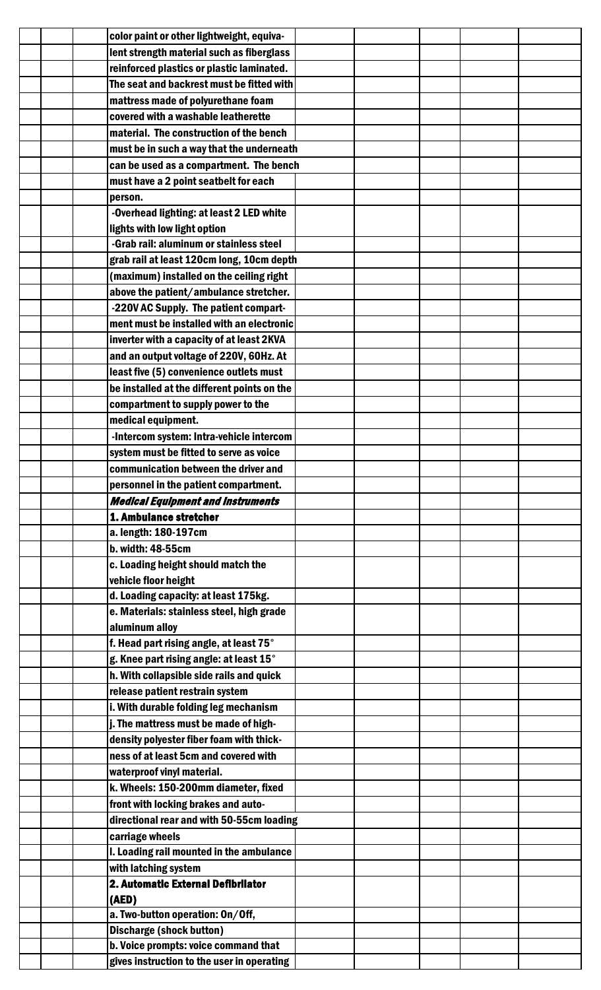|  | color paint or other lightweight, equiva-                                          |  |  |  |
|--|------------------------------------------------------------------------------------|--|--|--|
|  | lent strength material such as fiberglass                                          |  |  |  |
|  | reinforced plastics or plastic laminated.                                          |  |  |  |
|  | The seat and backrest must be fitted with                                          |  |  |  |
|  | mattress made of polyurethane foam                                                 |  |  |  |
|  | covered with a washable leatherette                                                |  |  |  |
|  | material. The construction of the bench                                            |  |  |  |
|  | must be in such a way that the underneath                                          |  |  |  |
|  | can be used as a compartment. The bench                                            |  |  |  |
|  | must have a 2 point seatbelt for each                                              |  |  |  |
|  | person.                                                                            |  |  |  |
|  | -Overhead lighting: at least 2 LED white                                           |  |  |  |
|  | lights with low light option                                                       |  |  |  |
|  | -Grab rail: aluminum or stainless steel                                            |  |  |  |
|  | grab rail at least 120cm long, 10cm depth                                          |  |  |  |
|  | (maximum) installed on the ceiling right                                           |  |  |  |
|  | above the patient/ambulance stretcher.                                             |  |  |  |
|  | -220V AC Supply. The patient compart-                                              |  |  |  |
|  | ment must be installed with an electronic                                          |  |  |  |
|  | inverter with a capacity of at least 2KVA                                          |  |  |  |
|  | and an output voltage of 220V, 60Hz. At                                            |  |  |  |
|  | least five (5) convenience outlets must                                            |  |  |  |
|  | be installed at the different points on the                                        |  |  |  |
|  | compartment to supply power to the                                                 |  |  |  |
|  | medical equipment.                                                                 |  |  |  |
|  | -Intercom system: Intra-vehicle intercom                                           |  |  |  |
|  | system must be fitted to serve as voice                                            |  |  |  |
|  | communication between the driver and                                               |  |  |  |
|  | personnel in the patient compartment.                                              |  |  |  |
|  |                                                                                    |  |  |  |
|  |                                                                                    |  |  |  |
|  | <b>Medical Equipment and Instruments</b><br>1. Ambulance stretcher                 |  |  |  |
|  | a. length: 180-197cm                                                               |  |  |  |
|  | b. width: 48-55cm                                                                  |  |  |  |
|  | c. Loading height should match the                                                 |  |  |  |
|  | vehicle floor height                                                               |  |  |  |
|  | d. Loading capacity: at least 175kg.                                               |  |  |  |
|  | e. Materials: stainless steel, high grade                                          |  |  |  |
|  | aluminum alloy                                                                     |  |  |  |
|  | f. Head part rising angle, at least 75°                                            |  |  |  |
|  | g. Knee part rising angle: at least 15°                                            |  |  |  |
|  | h. With collapsible side rails and quick                                           |  |  |  |
|  | release patient restrain system                                                    |  |  |  |
|  | i. With durable folding leg mechanism                                              |  |  |  |
|  | j. The mattress must be made of high-                                              |  |  |  |
|  | density polyester fiber foam with thick-                                           |  |  |  |
|  | ness of at least 5cm and covered with                                              |  |  |  |
|  | waterproof vinyl material.                                                         |  |  |  |
|  | k. Wheels: 150-200mm diameter, fixed                                               |  |  |  |
|  | front with locking brakes and auto-                                                |  |  |  |
|  | directional rear and with 50-55cm loading                                          |  |  |  |
|  | carriage wheels                                                                    |  |  |  |
|  | I. Loading rail mounted in the ambulance                                           |  |  |  |
|  | with latching system                                                               |  |  |  |
|  | 2. Automatic External Defibrilator                                                 |  |  |  |
|  | (AED)                                                                              |  |  |  |
|  | a. Two-button operation: On/Off,                                                   |  |  |  |
|  | <b>Discharge (shock button)</b>                                                    |  |  |  |
|  | b. Voice prompts: voice command that<br>gives instruction to the user in operating |  |  |  |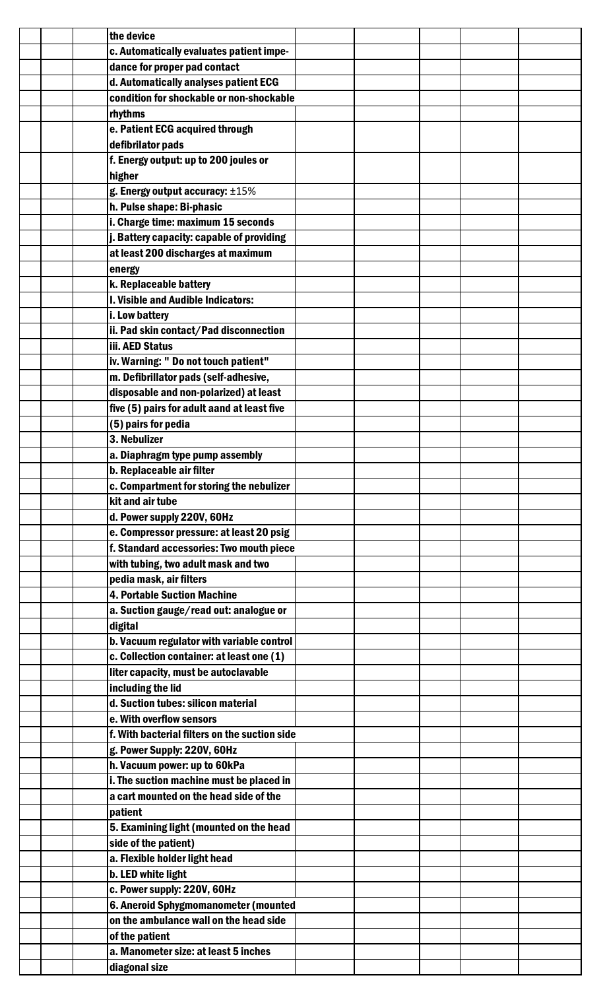|  | the device                                    |  |  |  |
|--|-----------------------------------------------|--|--|--|
|  | c. Automatically evaluates patient impe-      |  |  |  |
|  | dance for proper pad contact                  |  |  |  |
|  | d. Automatically analyses patient ECG         |  |  |  |
|  | condition for shockable or non-shockable      |  |  |  |
|  | rhythms                                       |  |  |  |
|  | e. Patient ECG acquired through               |  |  |  |
|  | defibrilator pads                             |  |  |  |
|  | f. Energy output: up to 200 joules or         |  |  |  |
|  | higher                                        |  |  |  |
|  | g. Energy output accuracy: ±15%               |  |  |  |
|  | h. Pulse shape: Bi-phasic                     |  |  |  |
|  | i. Charge time: maximum 15 seconds            |  |  |  |
|  | j. Battery capacity: capable of providing     |  |  |  |
|  |                                               |  |  |  |
|  | at least 200 discharges at maximum            |  |  |  |
|  | energy                                        |  |  |  |
|  | k. Replaceable battery                        |  |  |  |
|  | I. Visible and Audible Indicators:            |  |  |  |
|  | i. Low battery                                |  |  |  |
|  | ii. Pad skin contact/Pad disconnection        |  |  |  |
|  | iii. AED Status                               |  |  |  |
|  | iv. Warning: " Do not touch patient"          |  |  |  |
|  | m. Defibrillator pads (self-adhesive,         |  |  |  |
|  | disposable and non-polarized) at least        |  |  |  |
|  | five (5) pairs for adult aand at least five   |  |  |  |
|  | (5) pairs for pedia                           |  |  |  |
|  | 3. Nebulizer                                  |  |  |  |
|  | a. Diaphragm type pump assembly               |  |  |  |
|  | b. Replaceable air filter                     |  |  |  |
|  | c. Compartment for storing the nebulizer      |  |  |  |
|  | kit and air tube                              |  |  |  |
|  | d. Power supply 220V, 60Hz                    |  |  |  |
|  | e. Compressor pressure: at least 20 psig      |  |  |  |
|  | f. Standard accessories: Two mouth piece      |  |  |  |
|  | with tubing, two adult mask and two           |  |  |  |
|  | pedia mask, air filters                       |  |  |  |
|  | <b>4. Portable Suction Machine</b>            |  |  |  |
|  | a. Suction gauge/read out: analogue or        |  |  |  |
|  | digital                                       |  |  |  |
|  | b. Vacuum regulator with variable control     |  |  |  |
|  |                                               |  |  |  |
|  | c. Collection container: at least one (1)     |  |  |  |
|  | liter capacity, must be autoclavable          |  |  |  |
|  | including the lid                             |  |  |  |
|  | d. Suction tubes: silicon material            |  |  |  |
|  | e. With overflow sensors                      |  |  |  |
|  | f. With bacterial filters on the suction side |  |  |  |
|  | g. Power Supply: 220V, 60Hz                   |  |  |  |
|  | h. Vacuum power: up to 60kPa                  |  |  |  |
|  | i. The suction machine must be placed in      |  |  |  |
|  | a cart mounted on the head side of the        |  |  |  |
|  | patient                                       |  |  |  |
|  | 5. Examining light (mounted on the head       |  |  |  |
|  | side of the patient)                          |  |  |  |
|  | a. Flexible holder light head                 |  |  |  |
|  | b. LED white light                            |  |  |  |
|  | c. Power supply: 220V, 60Hz                   |  |  |  |
|  | 6. Aneroid Sphygmomanometer (mounted          |  |  |  |
|  | on the ambulance wall on the head side        |  |  |  |
|  | of the patient                                |  |  |  |
|  | a. Manometer size: at least 5 inches          |  |  |  |
|  | diagonal size                                 |  |  |  |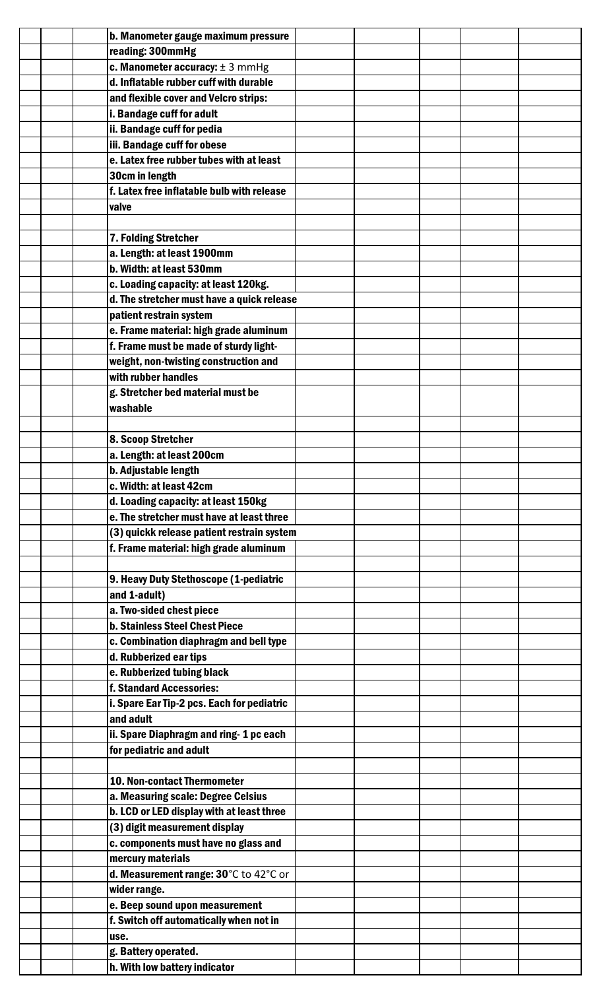|  | b. Manometer gauge maximum pressure        |  |  |  |
|--|--------------------------------------------|--|--|--|
|  | reading: 300mmHg                           |  |  |  |
|  | c. Manometer accuracy: $\pm$ 3 mmHg        |  |  |  |
|  | d. Inflatable rubber cuff with durable     |  |  |  |
|  | and flexible cover and Velcro strips:      |  |  |  |
|  | i. Bandage cuff for adult                  |  |  |  |
|  | ii. Bandage cuff for pedia                 |  |  |  |
|  | iii. Bandage cuff for obese                |  |  |  |
|  | e. Latex free rubber tubes with at least   |  |  |  |
|  | 30cm in length                             |  |  |  |
|  | f. Latex free inflatable bulb with release |  |  |  |
|  | valve                                      |  |  |  |
|  |                                            |  |  |  |
|  | 7. Folding Stretcher                       |  |  |  |
|  | a. Length: at least 1900mm                 |  |  |  |
|  | b. Width: at least 530mm                   |  |  |  |
|  | c. Loading capacity: at least 120kg.       |  |  |  |
|  | d. The stretcher must have a quick release |  |  |  |
|  | patient restrain system                    |  |  |  |
|  | e. Frame material: high grade aluminum     |  |  |  |
|  | f. Frame must be made of sturdy light-     |  |  |  |
|  | weight, non-twisting construction and      |  |  |  |
|  | with rubber handles                        |  |  |  |
|  | g. Stretcher bed material must be          |  |  |  |
|  | washable                                   |  |  |  |
|  |                                            |  |  |  |
|  | 8. Scoop Stretcher                         |  |  |  |
|  | a. Length: at least 200cm                  |  |  |  |
|  | b. Adjustable length                       |  |  |  |
|  | c. Width: at least 42cm                    |  |  |  |
|  | d. Loading capacity: at least 150kg        |  |  |  |
|  | e. The stretcher must have at least three  |  |  |  |
|  | (3) quickk release patient restrain system |  |  |  |
|  | f. Frame material: high grade aluminum     |  |  |  |
|  |                                            |  |  |  |
|  | 9. Heavy Duty Stethoscope (1-pediatric     |  |  |  |
|  | and 1-adult)                               |  |  |  |
|  | a. Two-sided chest piece                   |  |  |  |
|  | <b>b. Stainless Steel Chest Piece</b>      |  |  |  |
|  | c. Combination diaphragm and bell type     |  |  |  |
|  | d. Rubberized ear tips                     |  |  |  |
|  | e. Rubberized tubing black                 |  |  |  |
|  | f. Standard Accessories:                   |  |  |  |
|  | i. Spare Ear Tip-2 pcs. Each for pediatric |  |  |  |
|  | and adult                                  |  |  |  |
|  | ii. Spare Diaphragm and ring-1 pc each     |  |  |  |
|  | for pediatric and adult                    |  |  |  |
|  |                                            |  |  |  |
|  | <b>10. Non-contact Thermometer</b>         |  |  |  |
|  | a. Measuring scale: Degree Celsius         |  |  |  |
|  | b. LCD or LED display with at least three  |  |  |  |
|  | (3) digit measurement display              |  |  |  |
|  |                                            |  |  |  |
|  | c. components must have no glass and       |  |  |  |
|  | mercury materials                          |  |  |  |
|  | d. Measurement range: 30°C to 42°C or      |  |  |  |
|  | wider range.                               |  |  |  |
|  | e. Beep sound upon measurement             |  |  |  |
|  | f. Switch off automatically when not in    |  |  |  |
|  | use.                                       |  |  |  |
|  | g. Battery operated.                       |  |  |  |
|  | h. With low battery indicator              |  |  |  |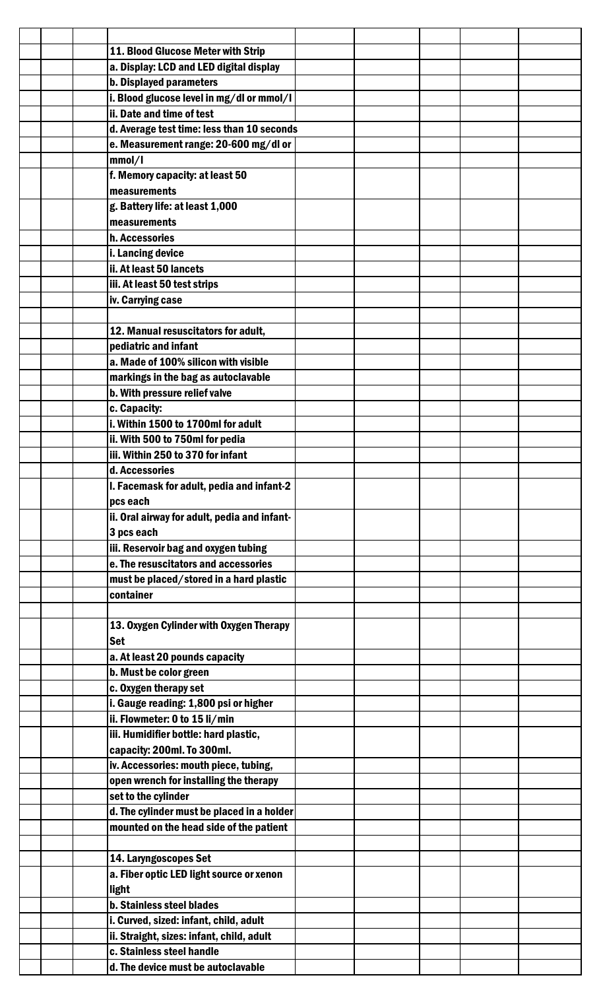|  | 11. Blood Glucose Meter with Strip           |  |  |  |
|--|----------------------------------------------|--|--|--|
|  | a. Display: LCD and LED digital display      |  |  |  |
|  | <b>b. Displayed parameters</b>               |  |  |  |
|  | i. Blood glucose level in mg/dl or mmol/l    |  |  |  |
|  | ii. Date and time of test                    |  |  |  |
|  | d. Average test time: less than 10 seconds   |  |  |  |
|  | e. Measurement range: 20-600 mg/dl or        |  |  |  |
|  |                                              |  |  |  |
|  | mmol/l                                       |  |  |  |
|  | f. Memory capacity: at least 50              |  |  |  |
|  | measurements                                 |  |  |  |
|  | g. Battery life: at least 1,000              |  |  |  |
|  | measurements                                 |  |  |  |
|  | h. Accessories                               |  |  |  |
|  | i. Lancing device                            |  |  |  |
|  | ii. At least 50 lancets                      |  |  |  |
|  |                                              |  |  |  |
|  | iii. At least 50 test strips                 |  |  |  |
|  | iv. Carrying case                            |  |  |  |
|  |                                              |  |  |  |
|  | 12. Manual resuscitators for adult,          |  |  |  |
|  | pediatric and infant                         |  |  |  |
|  | a. Made of 100% silicon with visible         |  |  |  |
|  | markings in the bag as autoclavable          |  |  |  |
|  |                                              |  |  |  |
|  | b. With pressure relief valve                |  |  |  |
|  | c. Capacity:                                 |  |  |  |
|  | i. Within 1500 to 1700ml for adult           |  |  |  |
|  | ii. With 500 to 750ml for pedia              |  |  |  |
|  | iii. Within 250 to 370 for infant            |  |  |  |
|  | d. Accessories                               |  |  |  |
|  | I. Facemask for adult, pedia and infant-2    |  |  |  |
|  | pcs each                                     |  |  |  |
|  | ii. Oral airway for adult, pedia and infant- |  |  |  |
|  |                                              |  |  |  |
|  | 3 pcs each                                   |  |  |  |
|  | iii. Reservoir bag and oxygen tubing         |  |  |  |
|  | e. The resuscitators and accessories         |  |  |  |
|  | must be placed/stored in a hard plastic      |  |  |  |
|  | container                                    |  |  |  |
|  |                                              |  |  |  |
|  | 13. Oxygen Cylinder with Oxygen Therapy      |  |  |  |
|  | <b>Set</b>                                   |  |  |  |
|  | a. At least 20 pounds capacity               |  |  |  |
|  |                                              |  |  |  |
|  | b. Must be color green                       |  |  |  |
|  | c. Oxygen therapy set                        |  |  |  |
|  | i. Gauge reading: 1,800 psi or higher        |  |  |  |
|  | ii. Flowmeter: 0 to 15 li/min                |  |  |  |
|  | iii. Humidifier bottle: hard plastic,        |  |  |  |
|  | capacity: 200ml. To 300ml.                   |  |  |  |
|  | iv. Accessories: mouth piece, tubing,        |  |  |  |
|  | open wrench for installing the therapy       |  |  |  |
|  |                                              |  |  |  |
|  | set to the cylinder                          |  |  |  |
|  | d. The cylinder must be placed in a holder   |  |  |  |
|  | mounted on the head side of the patient      |  |  |  |
|  |                                              |  |  |  |
|  | 14. Laryngoscopes Set                        |  |  |  |
|  | a. Fiber optic LED light source or xenon     |  |  |  |
|  | light                                        |  |  |  |
|  | <b>b. Stainless steel blades</b>             |  |  |  |
|  | i. Curved, sized: infant, child, adult       |  |  |  |
|  |                                              |  |  |  |
|  | ii. Straight, sizes: infant, child, adult    |  |  |  |
|  | c. Stainless steel handle                    |  |  |  |
|  | d. The device must be autoclavable           |  |  |  |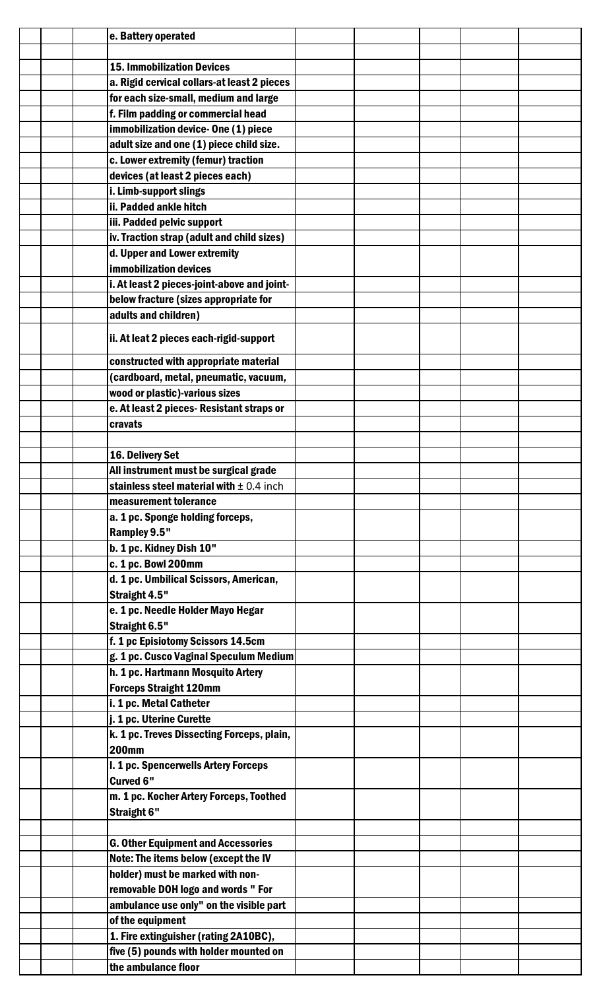|  | e. Battery operated                          |  |  |  |
|--|----------------------------------------------|--|--|--|
|  |                                              |  |  |  |
|  | <b>15. Immobilization Devices</b>            |  |  |  |
|  | a. Rigid cervical collars-at least 2 pieces  |  |  |  |
|  | for each size-small, medium and large        |  |  |  |
|  | f. Film padding or commercial head           |  |  |  |
|  | immobilization device-One (1) piece          |  |  |  |
|  | adult size and one (1) piece child size.     |  |  |  |
|  | c. Lower extremity (femur) traction          |  |  |  |
|  | devices (at least 2 pieces each)             |  |  |  |
|  |                                              |  |  |  |
|  | i. Limb-support slings                       |  |  |  |
|  | ii. Padded ankle hitch                       |  |  |  |
|  | iii. Padded pelvic support                   |  |  |  |
|  | iv. Traction strap (adult and child sizes)   |  |  |  |
|  | d. Upper and Lower extremity                 |  |  |  |
|  | <b>immobilization devices</b>                |  |  |  |
|  | i. At least 2 pieces-joint-above and joint-  |  |  |  |
|  | below fracture (sizes appropriate for        |  |  |  |
|  | adults and children)                         |  |  |  |
|  |                                              |  |  |  |
|  | ii. At leat 2 pieces each-rigid-support      |  |  |  |
|  | constructed with appropriate material        |  |  |  |
|  |                                              |  |  |  |
|  | (cardboard, metal, pneumatic, vacuum,        |  |  |  |
|  | wood or plastic)-various sizes               |  |  |  |
|  | e. At least 2 pieces- Resistant straps or    |  |  |  |
|  | cravats                                      |  |  |  |
|  |                                              |  |  |  |
|  | 16. Delivery Set                             |  |  |  |
|  | All instrument must be surgical grade        |  |  |  |
|  | stainless steel material with $\pm$ 0.4 inch |  |  |  |
|  | measurement tolerance                        |  |  |  |
|  | a. 1 pc. Sponge holding forceps,             |  |  |  |
|  | Rampley 9.5"                                 |  |  |  |
|  | b. 1 pc. Kidney Dish 10"                     |  |  |  |
|  | c. 1 pc. Bowl 200mm                          |  |  |  |
|  | d. 1 pc. Umbilical Scissors, American,       |  |  |  |
|  | Straight 4.5"                                |  |  |  |
|  |                                              |  |  |  |
|  | e. 1 pc. Needle Holder Mayo Hegar            |  |  |  |
|  | Straight 6.5"                                |  |  |  |
|  | f. 1 pc Episiotomy Scissors 14.5cm           |  |  |  |
|  | g. 1 pc. Cusco Vaginal Speculum Medium       |  |  |  |
|  | h. 1 pc. Hartmann Mosquito Artery            |  |  |  |
|  | <b>Forceps Straight 120mm</b>                |  |  |  |
|  | i. 1 pc. Metal Catheter                      |  |  |  |
|  | j. 1 pc. Uterine Curette                     |  |  |  |
|  | k. 1 pc. Treves Dissecting Forceps, plain,   |  |  |  |
|  | <b>200mm</b>                                 |  |  |  |
|  | I. 1 pc. Spencerwells Artery Forceps         |  |  |  |
|  | Curved 6"                                    |  |  |  |
|  | m. 1 pc. Kocher Artery Forceps, Toothed      |  |  |  |
|  | Straight 6"                                  |  |  |  |
|  |                                              |  |  |  |
|  | <b>G. Other Equipment and Accessories</b>    |  |  |  |
|  |                                              |  |  |  |
|  | Note: The items below (except the IV         |  |  |  |
|  | holder) must be marked with non-             |  |  |  |
|  | removable DOH logo and words " For           |  |  |  |
|  | ambulance use only" on the visible part      |  |  |  |
|  | of the equipment                             |  |  |  |
|  | 1. Fire extinguisher (rating 2A10BC),        |  |  |  |
|  | five (5) pounds with holder mounted on       |  |  |  |
|  | the ambulance floor                          |  |  |  |